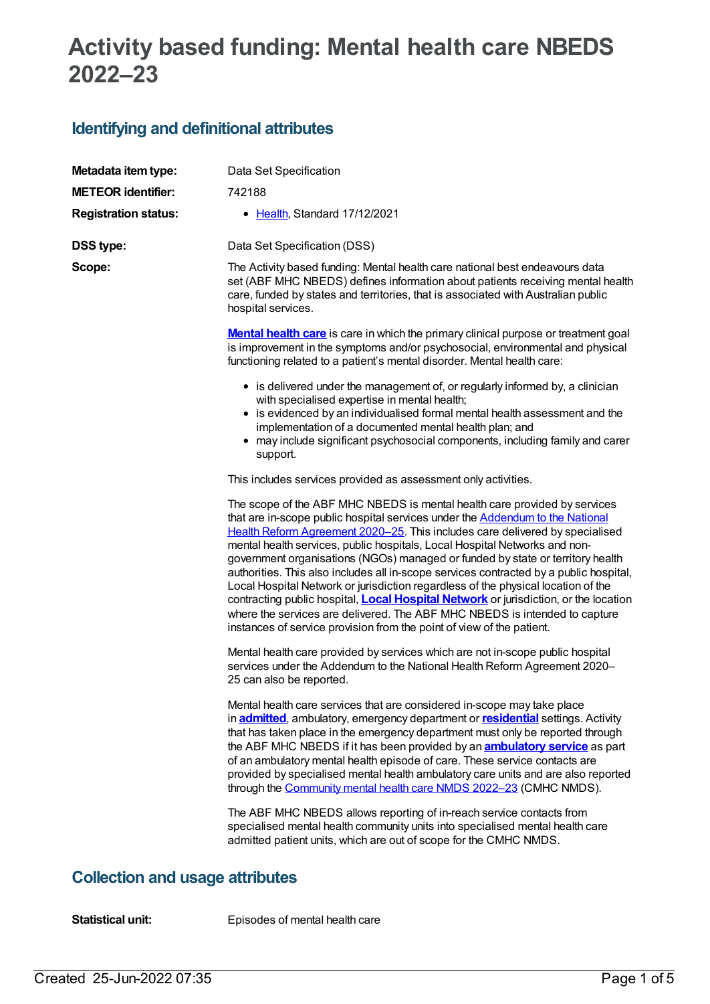# **Activity based funding: Mental health care NBEDS 2022–23**

# **Identifying and definitional attributes**

| Metadata item type:         | Data Set Specification                                                                                                                                                                                                                                                                                                                                                                                                                                                                                                                                                                                                                                                                                                                                                                                                                                 |
|-----------------------------|--------------------------------------------------------------------------------------------------------------------------------------------------------------------------------------------------------------------------------------------------------------------------------------------------------------------------------------------------------------------------------------------------------------------------------------------------------------------------------------------------------------------------------------------------------------------------------------------------------------------------------------------------------------------------------------------------------------------------------------------------------------------------------------------------------------------------------------------------------|
| <b>METEOR identifier:</b>   | 742188                                                                                                                                                                                                                                                                                                                                                                                                                                                                                                                                                                                                                                                                                                                                                                                                                                                 |
| <b>Registration status:</b> | • Health, Standard 17/12/2021                                                                                                                                                                                                                                                                                                                                                                                                                                                                                                                                                                                                                                                                                                                                                                                                                          |
| <b>DSS type:</b>            | Data Set Specification (DSS)                                                                                                                                                                                                                                                                                                                                                                                                                                                                                                                                                                                                                                                                                                                                                                                                                           |
| Scope:                      | The Activity based funding: Mental health care national best endeavours data<br>set (ABF MHC NBEDS) defines information about patients receiving mental health<br>care, funded by states and territories, that is associated with Australian public<br>hospital services.                                                                                                                                                                                                                                                                                                                                                                                                                                                                                                                                                                              |
|                             | <b>Mental health care</b> is care in which the primary clinical purpose or treatment goal<br>is improvement in the symptoms and/or psychosocial, environmental and physical<br>functioning related to a patient's mental disorder. Mental health care:                                                                                                                                                                                                                                                                                                                                                                                                                                                                                                                                                                                                 |
|                             | • is delivered under the management of, or regularly informed by, a clinician<br>with specialised expertise in mental health;<br>• is evidenced by an individualised formal mental health assessment and the<br>implementation of a documented mental health plan; and<br>• may include significant psychosocial components, including family and carer<br>support.                                                                                                                                                                                                                                                                                                                                                                                                                                                                                    |
|                             | This includes services provided as assessment only activities.                                                                                                                                                                                                                                                                                                                                                                                                                                                                                                                                                                                                                                                                                                                                                                                         |
|                             | The scope of the ABF MHC NBEDS is mental health care provided by services<br>that are in-scope public hospital services under the <b>Addendum to the National</b><br>Health Reform Agreement 2020-25. This includes care delivered by specialised<br>mental health services, public hospitals, Local Hospital Networks and non-<br>government organisations (NGOs) managed or funded by state or territory health<br>authorities. This also includes all in-scope services contracted by a public hospital,<br>Local Hospital Network or jurisdiction regardless of the physical location of the<br>contracting public hospital, <b>Local Hospital Network</b> or jurisdiction, or the location<br>where the services are delivered. The ABF MHC NBEDS is intended to capture<br>instances of service provision from the point of view of the patient. |
|                             | Mental health care provided by services which are not in-scope public hospital<br>services under the Addendum to the National Health Reform Agreement 2020-<br>25 can also be reported.                                                                                                                                                                                                                                                                                                                                                                                                                                                                                                                                                                                                                                                                |
|                             | Mental health care services that are considered in-scope may take place<br>in <b>admitted</b> , ambulatory, emergency department or <b>residential</b> settings. Activity<br>that has taken place in the emergency department must only be reported through<br>the ABF MHC NBEDS if it has been provided by an <b>ambulatory service</b> as part<br>of an ambulatory mental health episode of care. These service contacts are<br>provided by specialised mental health ambulatory care units and are also reported<br>through the Community mental health care NMDS 2022-23 (CMHC NMDS).                                                                                                                                                                                                                                                              |
|                             | The ABF MHC NBEDS allows reporting of in-reach service contacts from<br>specialised mental health community units into specialised mental health care<br>admitted patient units, which are out of scope for the CMHC NMDS.                                                                                                                                                                                                                                                                                                                                                                                                                                                                                                                                                                                                                             |

### **Collection and usage attributes**

**Statistical unit:** Episodes of mental health care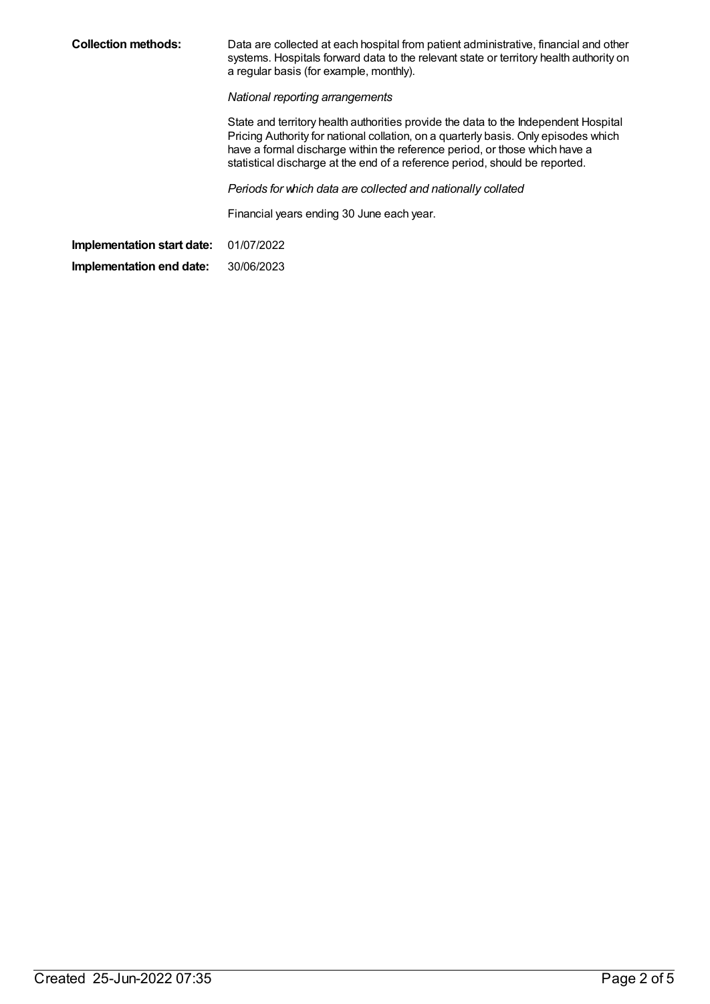| <b>Collection methods:</b> | Data are collected at each hospital from patient administrative, financial and other<br>systems. Hospitals forward data to the relevant state or territory health authority on<br>a regular basis (for example, monthly).                                                                                                               |
|----------------------------|-----------------------------------------------------------------------------------------------------------------------------------------------------------------------------------------------------------------------------------------------------------------------------------------------------------------------------------------|
|                            | National reporting arrangements                                                                                                                                                                                                                                                                                                         |
|                            | State and territory health authorities provide the data to the Independent Hospital<br>Pricing Authority for national collation, on a quarterly basis. Only episodes which<br>have a formal discharge within the reference period, or those which have a<br>statistical discharge at the end of a reference period, should be reported. |
|                            | Periods for which data are collected and nationally collated                                                                                                                                                                                                                                                                            |
|                            | Financial years ending 30 June each year.                                                                                                                                                                                                                                                                                               |
| Implementation start date: | 01/07/2022                                                                                                                                                                                                                                                                                                                              |
| Implementation end date:   | 30/06/2023                                                                                                                                                                                                                                                                                                                              |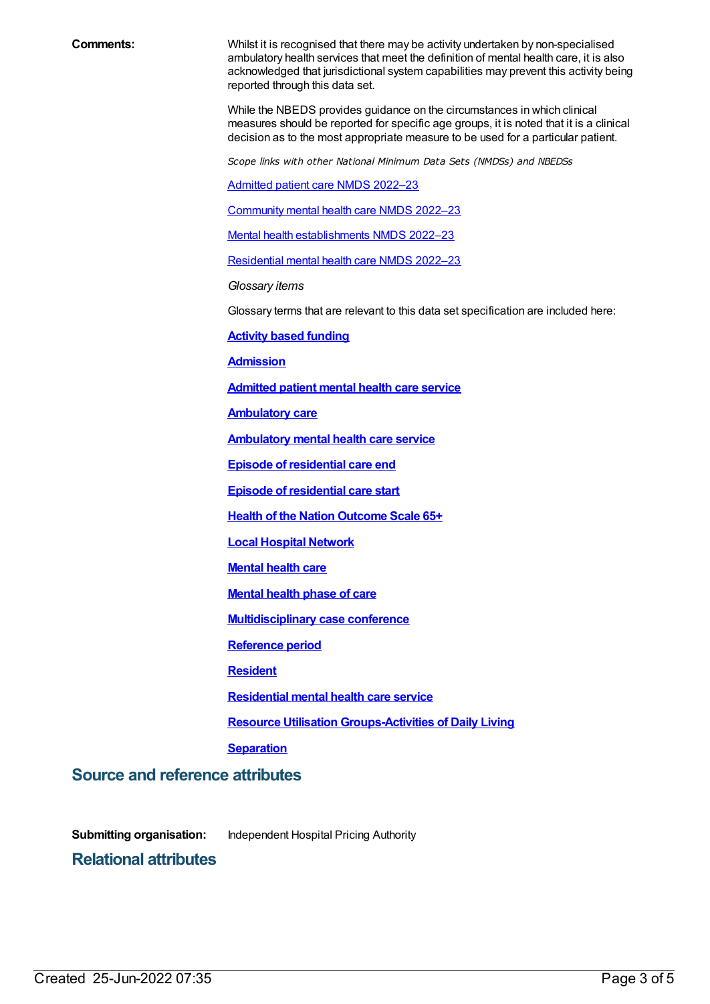**Comments:** Whilst it is recognised that there may be activity undertaken by non-specialised ambulatory health services that meet the definition of mental health care, it is also acknowledged that jurisdictional system capabilities may prevent this activity being reported through this data set.

> While the NBEDS provides guidance on the circumstances in which clinical measures should be reported for specific age groups, it is noted that it is a clinical decision as to the most appropriate measure to be used for a particular patient.

*Scope links with other National Minimum Data Sets (NMDSs) and NBEDSs*

[Admitted](file:///content/742173) patient care NMDS 2022–23

[Community](file:///content/742040) mental health care NMDS 2022–23

Mental health [establishments](file:///content/742046) NMDS 2022–23

[Residential](file:///content/742165) mental health care NMDS 2022–23

*Glossary items*

Glossary terms that are relevant to this data set specification are included here:

**Activity based [funding](https://meteor.aihw.gov.au/content/678967)**

**[Admission](https://meteor.aihw.gov.au/content/327206)**

**[Admitted](https://meteor.aihw.gov.au/content/409067) patient mental health care service**

**[Ambulatory](https://meteor.aihw.gov.au/content/749893) care**

**[Ambulatory](https://meteor.aihw.gov.au/content/699980) mental health care service**

**Episode of [residential](https://meteor.aihw.gov.au/content/376427) care end**

**Episode of [residential](https://meteor.aihw.gov.au/content/376510) care start**

**Health of the Nation [Outcome](https://meteor.aihw.gov.au/content/730842) Scale 65+**

**Local [Hospital](https://meteor.aihw.gov.au/content/711144) Network**

**[Mental](https://meteor.aihw.gov.au/content/575321) health care**

**[Mental](https://meteor.aihw.gov.au/content/682464) health phase of care**

**[Multidisciplinary](https://meteor.aihw.gov.au/content/614408) case conference**

**[Reference](https://meteor.aihw.gov.au/content/699148) period**

**[Resident](https://meteor.aihw.gov.au/content/722666)**

**[Residential](https://meteor.aihw.gov.au/content/373049) mental health care service**

**Resource Utilisation [Groups-Activities](https://meteor.aihw.gov.au/content/495909) of Daily Living**

**[Separation](https://meteor.aihw.gov.au/content/327268)**

**Source and reference attributes**

**Submitting organisation:** Independent Hospital Pricing Authority

**Relational attributes**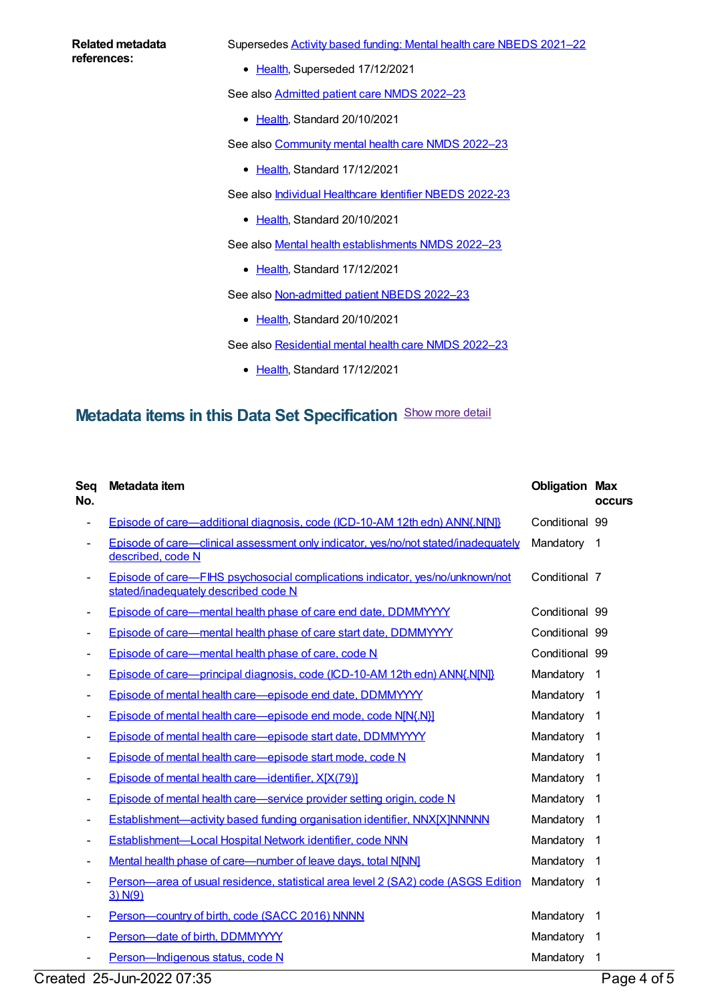#### **Related metadata references:**

Supersedes Activity based funding: Mental health care NBEDS [2021–22](https://meteor.aihw.gov.au/content/735108)

• [Health](https://meteor.aihw.gov.au/RegistrationAuthority/12), Superseded 17/12/2021

See also [Admitted](https://meteor.aihw.gov.au/content/742173) patient care NMDS 2022-23

• [Health](https://meteor.aihw.gov.au/RegistrationAuthority/12), Standard 20/10/2021

See also [Community](https://meteor.aihw.gov.au/content/742040) mental health care NMDS 2022-23

- [Health](https://meteor.aihw.gov.au/RegistrationAuthority/12), Standard 17/12/2021
- See also *Individual [Healthcare](https://meteor.aihw.gov.au/content/746470) Identifier NBEDS 2022-23* 
	- [Health](https://meteor.aihw.gov.au/RegistrationAuthority/12), Standard 20/10/2021

See also Mental health [establishments](https://meteor.aihw.gov.au/content/742046) NMDS 2022–23

• [Health](https://meteor.aihw.gov.au/RegistrationAuthority/12), Standard 17/12/2021

See also [Non-admitted](https://meteor.aihw.gov.au/content/742186) patient NBEDS 2022-23

• [Health](https://meteor.aihw.gov.au/RegistrationAuthority/12), Standard 20/10/2021

See also [Residential](https://meteor.aihw.gov.au/content/742165) mental health care NMDS 2022-23

• [Health](https://meteor.aihw.gov.au/RegistrationAuthority/12), Standard 17/12/2021

# **Metadata items in this Data Set Specification** Show more detail

| Seq<br>No.               | Metadata item                                                                                                         | <b>Obligation Max</b> | <b>occurs</b>           |
|--------------------------|-----------------------------------------------------------------------------------------------------------------------|-----------------------|-------------------------|
|                          | Episode of care—additional diagnosis, code (ICD-10-AM 12th edn) ANN{.N[N]}                                            | Conditional 99        |                         |
| $\overline{\phantom{0}}$ | Episode of care—clinical assessment only indicator, yes/no/not stated/inadequately<br>described, code N               | Mandatory             | $\mathbf 1$             |
|                          | Episode of care—FIHS psychosocial complications indicator, yes/no/unknown/not<br>stated/inadequately described code N | Conditional 7         |                         |
|                          | Episode of care-mental health phase of care end date, DDMMYYYY                                                        | Conditional 99        |                         |
|                          | Episode of care—mental health phase of care start date, DDMMYYYY                                                      | Conditional 99        |                         |
|                          | Episode of care—mental health phase of care, code N                                                                   | Conditional 99        |                         |
| $\overline{\phantom{a}}$ | <b>Episode of care—principal diagnosis, code (ICD-10-AM 12th edn) ANN{.N[N]}</b>                                      | Mandatory             | $\mathbf 1$             |
|                          | Episode of mental health care-episode end date, DDMMYYYY                                                              | Mandatory             | $\overline{1}$          |
|                          | Episode of mental health care-episode end mode, code N[N{.N}]                                                         | Mandatory             | $\overline{\mathbf{1}}$ |
|                          | Episode of mental health care-episode start date, DDMMYYYY                                                            | Mandatory             | $\mathbf 1$             |
|                          | Episode of mental health care-episode start mode, code N                                                              | Mandatory             | -1                      |
| ۰                        | Episode of mental health care—identifier, X[X(79)]                                                                    | Mandatory             | -1                      |
|                          | Episode of mental health care—service provider setting origin, code N                                                 | Mandatory             | -1                      |
|                          | <b>Establishment—activity based funding organisation identifier, NNX[X]NNNNN</b>                                      | Mandatory             | $\overline{1}$          |
|                          | Establishment-Local Hospital Network identifier, code NNN                                                             | Mandatory             | $\overline{1}$          |
|                          | Mental health phase of care-number of leave days, total N[NN]                                                         | Mandatory             | -1                      |
|                          | Person-area of usual residence, statistical area level 2 (SA2) code (ASGS Edition<br>3) N(9)                          | Mandatory             | $\mathbf 1$             |
|                          | Person-country of birth, code (SACC 2016) NNNN                                                                        | Mandatory             | -1                      |
|                          | Person-date of birth, DDMMYYYY                                                                                        | Mandatory             | -1                      |
|                          | Person-Indigenous status, code N                                                                                      | Mandatory             | 1                       |

Created 25-Jun-2022 07:35 Page 4 of 5